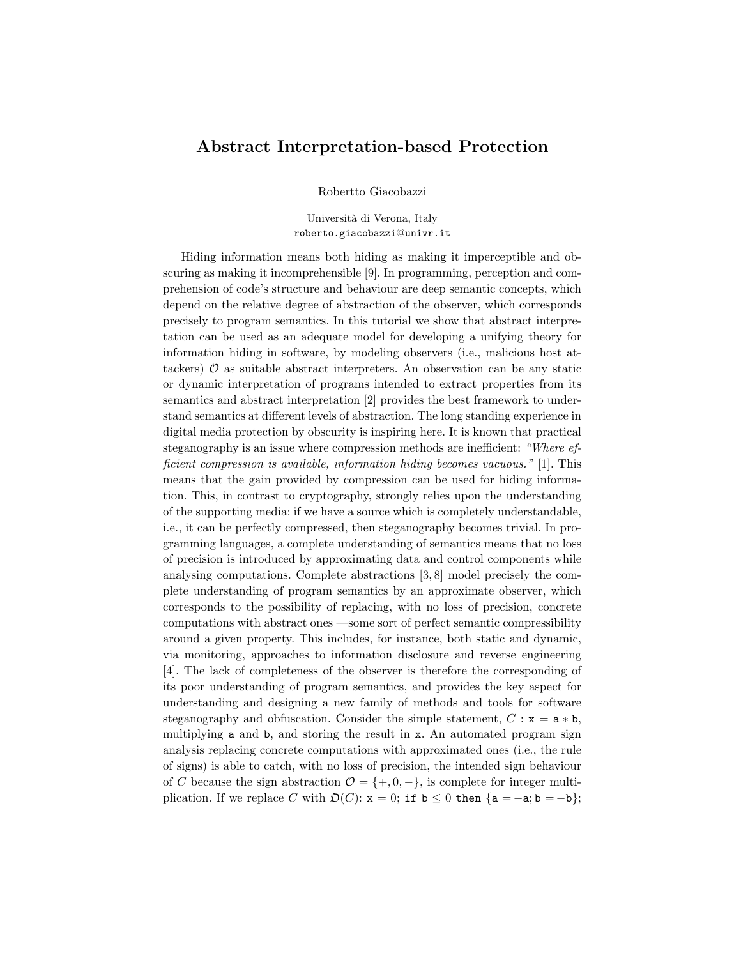## Abstract Interpretation-based Protection

Robertto Giacobazzi

Università di Verona, Italy roberto.giacobazzi@univr.it

Hiding information means both hiding as making it imperceptible and obscuring as making it incomprehensible [9]. In programming, perception and comprehension of code's structure and behaviour are deep semantic concepts, which depend on the relative degree of abstraction of the observer, which corresponds precisely to program semantics. In this tutorial we show that abstract interpretation can be used as an adequate model for developing a unifying theory for information hiding in software, by modeling observers (i.e., malicious host attackers)  $\mathcal O$  as suitable abstract interpreters. An observation can be any static or dynamic interpretation of programs intended to extract properties from its semantics and abstract interpretation [2] provides the best framework to understand semantics at different levels of abstraction. The long standing experience in digital media protection by obscurity is inspiring here. It is known that practical steganography is an issue where compression methods are inefficient: "Where efficient compression is available, information hiding becomes vacuous." [1]. This means that the gain provided by compression can be used for hiding information. This, in contrast to cryptography, strongly relies upon the understanding of the supporting media: if we have a source which is completely understandable, i.e., it can be perfectly compressed, then steganography becomes trivial. In programming languages, a complete understanding of semantics means that no loss of precision is introduced by approximating data and control components while analysing computations. Complete abstractions [3, 8] model precisely the complete understanding of program semantics by an approximate observer, which corresponds to the possibility of replacing, with no loss of precision, concrete computations with abstract ones —some sort of perfect semantic compressibility around a given property. This includes, for instance, both static and dynamic, via monitoring, approaches to information disclosure and reverse engineering [4]. The lack of completeness of the observer is therefore the corresponding of its poor understanding of program semantics, and provides the key aspect for understanding and designing a new family of methods and tools for software steganography and obfuscation. Consider the simple statement,  $C : x = a * b$ , multiplying a and b, and storing the result in x. An automated program sign analysis replacing concrete computations with approximated ones (i.e., the rule of signs) is able to catch, with no loss of precision, the intended sign behaviour of C because the sign abstraction  $\mathcal{O} = \{+,0,-\}$ , is complete for integer multiplication. If we replace C with  $\mathfrak{O}(C)$ :  $x = 0$ ; if  $b \le 0$  then {a = -a; b = -b};